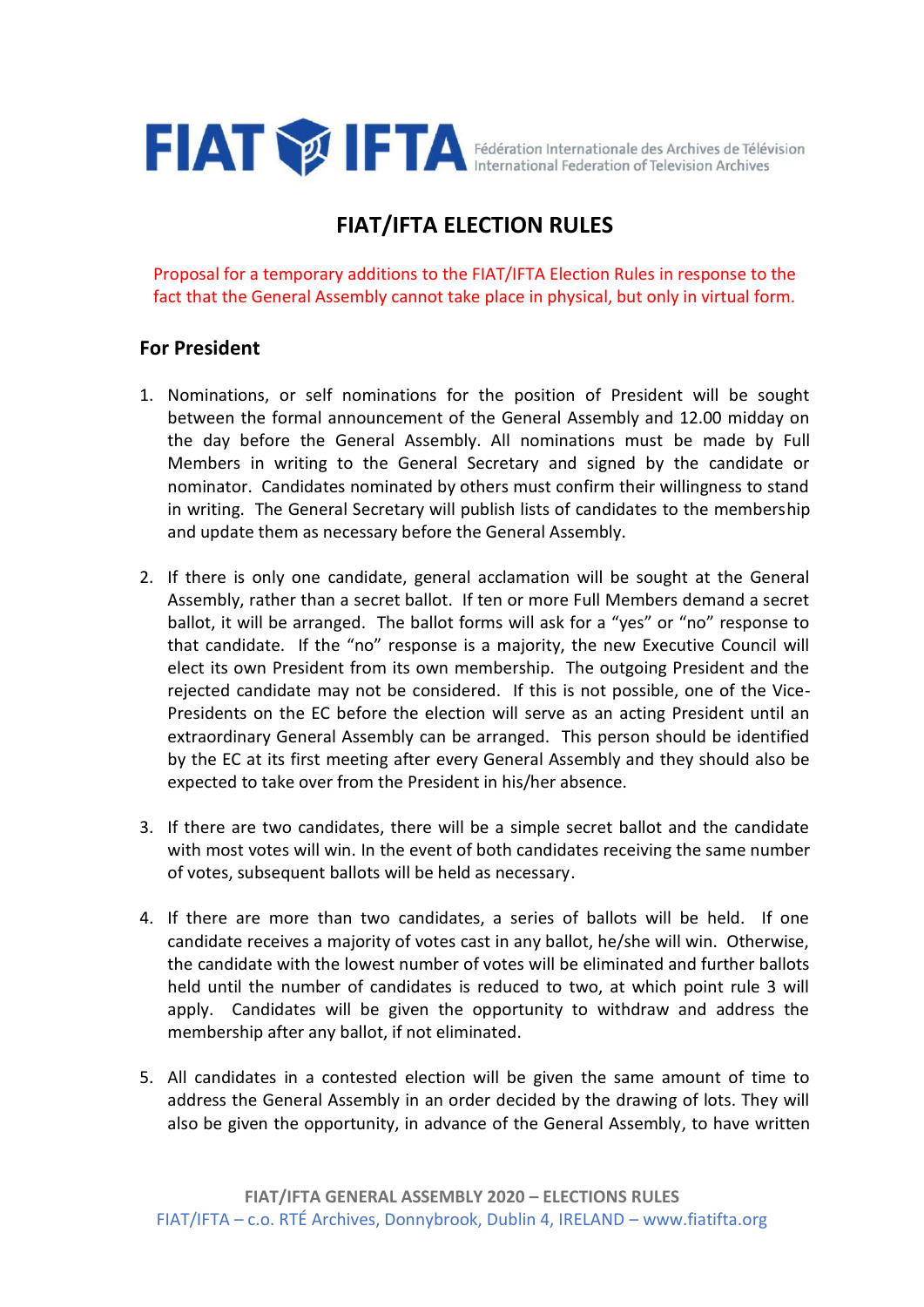

# **FIAT/IFTA ELECTION RULES**

Proposal for a temporary additions to the FIAT/IFTA Election Rules in response to the fact that the General Assembly cannot take place in physical, but only in virtual form.

## **For President**

- 1. Nominations, or self nominations for the position of President will be sought between the formal announcement of the General Assembly and 12.00 midday on the day before the General Assembly. All nominations must be made by Full Members in writing to the General Secretary and signed by the candidate or nominator. Candidates nominated by others must confirm their willingness to stand in writing. The General Secretary will publish lists of candidates to the membership and update them as necessary before the General Assembly.
- 2. If there is only one candidate, general acclamation will be sought at the General Assembly, rather than a secret ballot. If ten or more Full Members demand a secret ballot, it will be arranged. The ballot forms will ask for a "yes" or "no" response to that candidate. If the "no" response is a majority, the new Executive Council will elect its own President from its own membership. The outgoing President and the rejected candidate may not be considered. If this is not possible, one of the Vice-Presidents on the EC before the election will serve as an acting President until an extraordinary General Assembly can be arranged. This person should be identified by the EC at its first meeting after every General Assembly and they should also be expected to take over from the President in his/her absence.
- 3. If there are two candidates, there will be a simple secret ballot and the candidate with most votes will win. In the event of both candidates receiving the same number of votes, subsequent ballots will be held as necessary.
- 4. If there are more than two candidates, a series of ballots will be held. If one candidate receives a majority of votes cast in any ballot, he/she will win. Otherwise, the candidate with the lowest number of votes will be eliminated and further ballots held until the number of candidates is reduced to two, at which point rule 3 will apply. Candidates will be given the opportunity to withdraw and address the membership after any ballot, if not eliminated.
- 5. All candidates in a contested election will be given the same amount of time to address the General Assembly in an order decided by the drawing of lots. They will also be given the opportunity, in advance of the General Assembly, to have written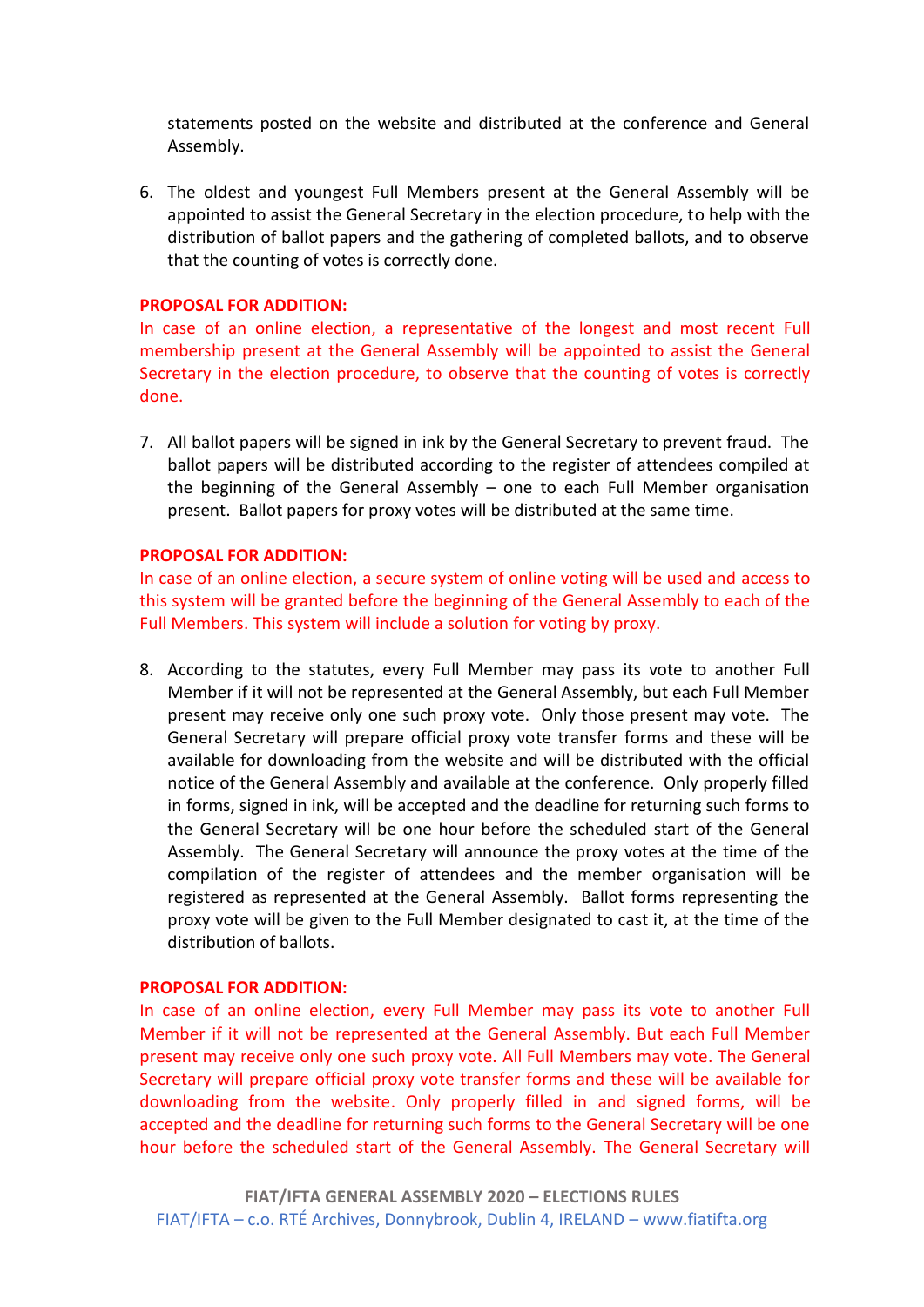statements posted on the website and distributed at the conference and General Assembly.

6. The oldest and youngest Full Members present at the General Assembly will be appointed to assist the General Secretary in the election procedure, to help with the distribution of ballot papers and the gathering of completed ballots, and to observe that the counting of votes is correctly done.

#### **PROPOSAL FOR ADDITION:**

In case of an online election, a representative of the longest and most recent Full membership present at the General Assembly will be appointed to assist the General Secretary in the election procedure, to observe that the counting of votes is correctly done.

7. All ballot papers will be signed in ink by the General Secretary to prevent fraud. The ballot papers will be distributed according to the register of attendees compiled at the beginning of the General Assembly – one to each Full Member organisation present. Ballot papers for proxy votes will be distributed at the same time.

#### **PROPOSAL FOR ADDITION:**

In case of an online election, a secure system of online voting will be used and access to this system will be granted before the beginning of the General Assembly to each of the Full Members. This system will include a solution for voting by proxy.

8. According to the statutes, every Full Member may pass its vote to another Full Member if it will not be represented at the General Assembly, but each Full Member present may receive only one such proxy vote. Only those present may vote. The General Secretary will prepare official proxy vote transfer forms and these will be available for downloading from the website and will be distributed with the official notice of the General Assembly and available at the conference. Only properly filled in forms, signed in ink, will be accepted and the deadline for returning such forms to the General Secretary will be one hour before the scheduled start of the General Assembly. The General Secretary will announce the proxy votes at the time of the compilation of the register of attendees and the member organisation will be registered as represented at the General Assembly. Ballot forms representing the proxy vote will be given to the Full Member designated to cast it, at the time of the distribution of ballots.

#### **PROPOSAL FOR ADDITION:**

In case of an online election, every Full Member may pass its vote to another Full Member if it will not be represented at the General Assembly. But each Full Member present may receive only one such proxy vote. All Full Members may vote. The General Secretary will prepare official proxy vote transfer forms and these will be available for downloading from the website. Only properly filled in and signed forms, will be accepted and the deadline for returning such forms to the General Secretary will be one hour before the scheduled start of the General Assembly. The General Secretary will